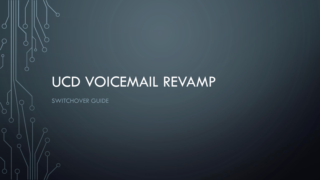# UCD VOICEMAIL REVAMP

SWITCHOVER GUIDE

 $\mathcal C$ 

 $\overline{O}$ 

 $\circ$ 

 $\bigcap$ 

 $\subset$ 

Ω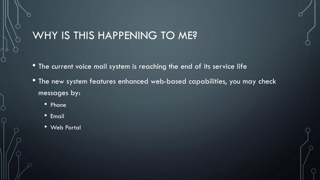### WHY IS THIS HAPPENING TO ME?

- The current voice mail system is reaching the end of its service life
- The new system features enhanced web-based capabilities, you may check messages by:
	- Phone
	- Email
	- Web Portal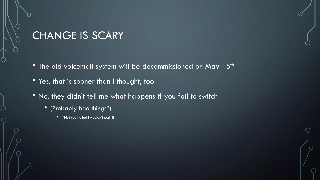### CHANGE IS SCARY

- The old voicemail system will be decommissioned on May 15<sup>th</sup>
- Yes, that is sooner than I thought, too
- No, they didn't tell me what happens if you fail to switch
	- (Probably bad things\*)
		- \*Not really, but I wouldn't push it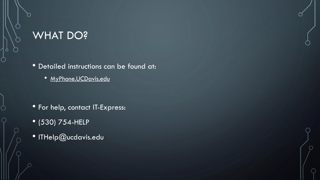### WHAT DO?

• Detailed instructions can be found at:

• MyPhone.UCDavis.edu

- For help, contact IT-Express:
- (530) 754-HELP
- ITHelp@ucdavis.edu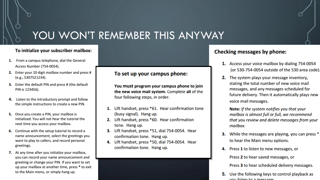### YOU WON'T REMEMBER THIS ANYWAY

#### To initialize your subscriber mailbox:

- 1. From a campus telephone, dial the General Access Number (754-0054).
- 2. Enter your 10 digit mailbox number and press # (e.g., 5307521234).
- 3. Enter the default PIN and press # (the default PIN is 123456).
- 4. Listen to the introductory prompt and follow the simple instructions to create a new PIN.
- 5. Once you create a PIN, your mailbox is initialized. You will not hear the tutorial the next time you access your mailbox.
- 6. Continue with the setup tutorial to record a name announcement, select the greetings you want to play to callers, and record personal greetings.
- 7. At any time after you initialize your mailbox, you can record your name announcement and greeting or change your PIN. If you want to set up your mailbox at another time, press \* to exit to the Main menu, or simply hang up.

#### To set up your campus phone:

You must program your campus phone to join the new voice mail system. Complete all of the four following steps, in order.

- 1. Lift handset, press \*61. Hear confirmation tone (busy signal). Hang up.
- 2. Lift handset, press \*60. Hear confirmation tone. Hang up.
- 3. Lift handset, press \*51, dial 754-0054. Hear confirmation tone. Hang up.
- 4. Lift handset, press \*50, dial 754-0054. Hear confirmation tone. Hang up.

#### **Checking messages by phone:**

- 1. Access your voice mailbox by dialing 754-0054 (or 530-754-0054 outside of the 530 area code).
- 2. The system plays your message inventory, stating the total number of new voice mail messages, and any messages scheduled for future delivery. Then it automatically plays new voice mail messages.

Note: If the system notifies you that your mailbox is almost full or full, we recommend that you review and delete messages from your mailbox.

- 3. While the messages are playing, you can press \* to hear the Main menu options.
- 4. Press 1 to listen to new messages, or Press 2 to hear saved messages, or

Press 3 to hear scheduled delivery messages.

5. Use the following keys to control playback as vou licton to a moccago: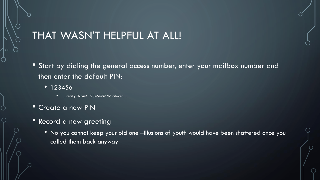### THAT WASN'T HELPFUL AT ALL!

- Start by dialing the general access number, enter your mailbox number and then enter the default PIN:
	- 123456
		- …really Davis? 123456??? Whatever...
- Create a new PIN
- Record a new greeting
	- No you cannot keep your old one –Illusions of youth would have been shattered once you called them back anyway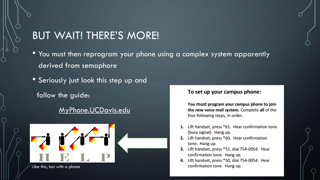#### BUT WAIT! THERE'S MORE!

- You must then reprogram your phone using a complex system apparently derived from semaphore
- Seriously just look this step up and
	- follow the guide:

#### MyPhone.UCDavis.edu



Like this, but with a phone

#### To set up your campus phone:

You must program your campus phone to join the new voice mail system. Complete all of the four following steps, in order.

- 1. Lift handset, press \*61. Hear confirmation tone (busy signal). Hang up.
- 2. Lift handset, press \*60. Hear confirmation tone. Hang up.
- 3. Lift handset, press \*51, dial 754-0054. Hear confirmation tone. Hang up.
- 4. Lift handset, press \*50, dial 754-0054. Hear confirmation tone. Hang up.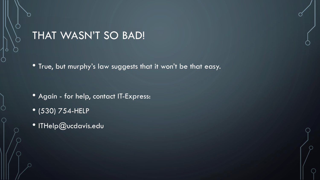### THAT WASN'T SO BAD!

• True, but murphy's law suggests that it won't be that easy.

- Again for help, contact IT-Express:
- (530) 754-HELP
- ITHelp@ucdavis.edu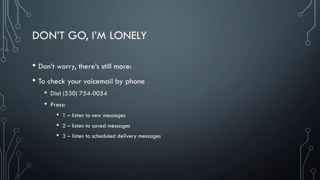## DON'T GO, I'M LONELY

- Don't worry, there's still more:
- To check your voicemail by phone
	- Dial (530) 754-0054
	- Press:
		- 1 listen to new messages
		- 2 listen to saved messages
		- 3 listen to scheduled delivery messages

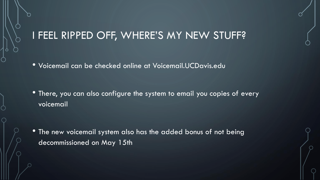### I FEEL RIPPED OFF, WHERE'S MY NEW STUFF?

• Voicemail can be checked online at Voicemail.UCDavis.edu

• There, you can also configure the system to email you copies of every voicemail

• The new voicemail system also has the added bonus of not being decommissioned on May 15th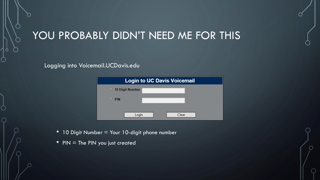# YOU PROBABLY DIDN'T NEED ME FOR THIS

#### Logging into Voicemail.UCDavis.edu

| <b>Login to UC Davis Voicemail</b> |       |
|------------------------------------|-------|
|                                    |       |
| ○ 10 Digit Number                  |       |
| <b>PIN</b><br>o                    |       |
| Login                              | Clear |

- 10 Digit Number = Your 10-digit phone number
- PIN  $=$  The PIN you just created